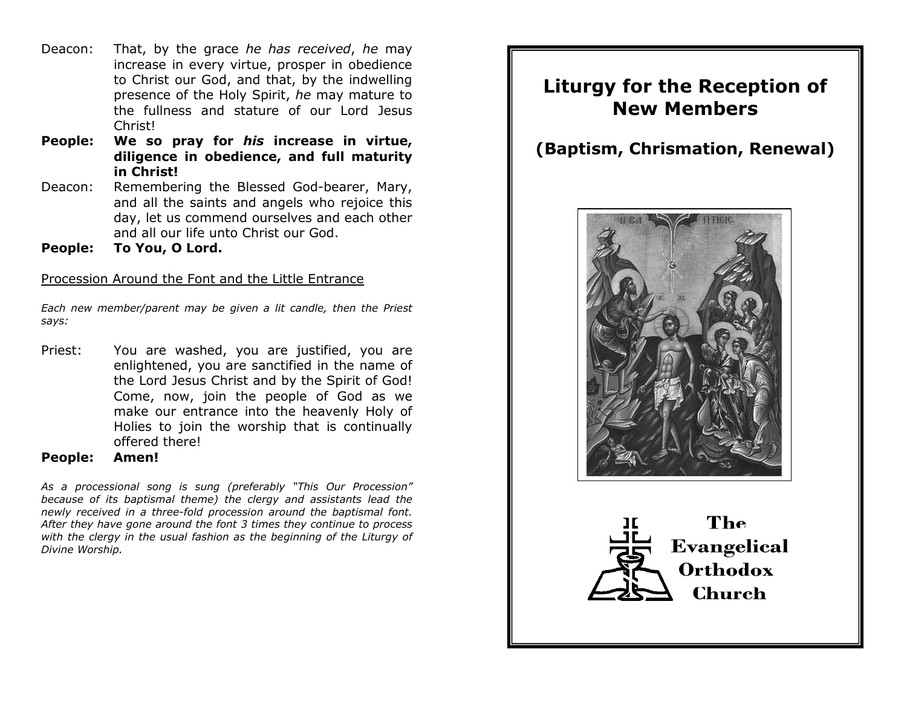- Deacon: That, by the grace *he has received*, *he* may increase in every virtue, prosper in obedience to Christ our God, and that, by the indwelling presence of the Holy Spirit, *he* may mature to the fullness and stature of our Lord Jesus Christ!
- **People: We so pray for** *his* **increase in virtue, diligence in obedience, and full maturity in Christ!**
- Deacon: Remembering the Blessed God-bearer, Mary, and all the saints and angels who rejoice this day, let us commend ourselves and each other and all our life unto Christ our God.
- **People: To You, O Lord.**

#### Procession Around the Font and the Little Entrance

*Each new member/parent may be given a lit candle, then the Priest says:*

- Priest: You are washed, you are justified, you are enlightened, you are sanctified in the name of the Lord Jesus Christ and by the Spirit of God! Come, now, join the people of God as we make our entrance into the heavenly Holy of Holies to join the worship that is continually offered there!
- **People: Amen!**

*As a processional song is sung (preferably "This Our Procession" because of its baptismal theme) the clergy and assistants lead the newly received in a three-fold procession around the baptismal font. After they have gone around the font 3 times they continue to process with the clergy in the usual fashion as the beginning of the Liturgy of Divine Worship.*

# **Liturgy for the Reception of New Members**

# **(Baptism, Chrismation, Renewal)**



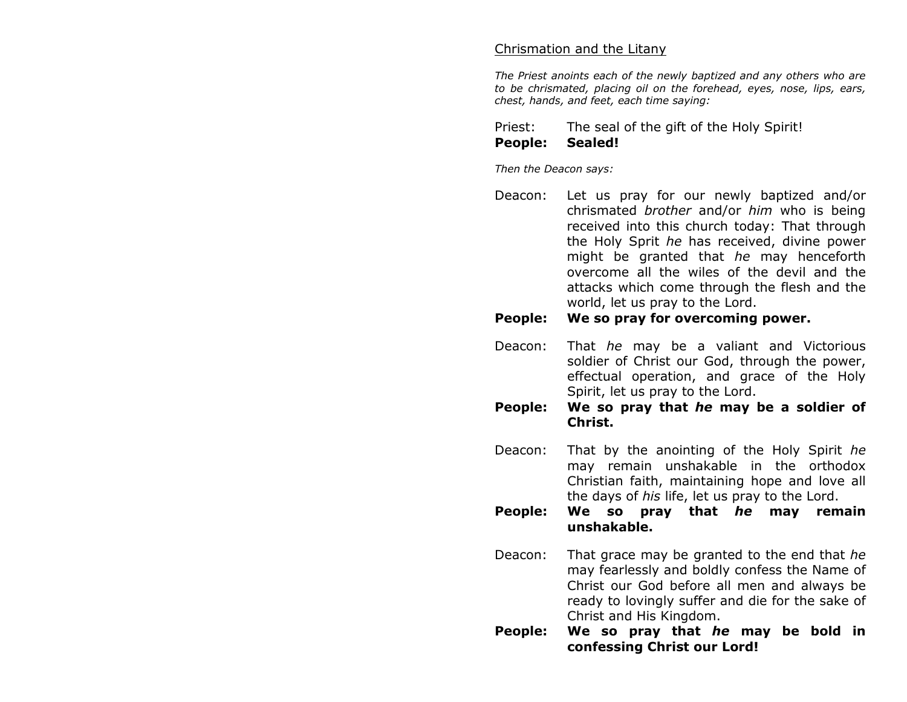#### Chrismation and the Litany

*The Priest anoints each of the newly baptized and any others who are to be chrismated, placing oil on the forehead, eyes, nose, lips, ears, chest, hands, and feet, each time saying:*

Priest: The seal of the gift of the Holy Spirit! **People: Sealed!**

*Then the Deacon says:*

Deacon: Let us pray for our newly baptized and/or chrismated *brother* and/or *him* who is being received into this church today: That through the Holy Sprit *he* has received, divine power might be granted that *he* may henceforth overcome all the wiles of the devil and the attacks which come through the flesh and the world, let us pray to the Lord.

#### **People: We so pray for overcoming power.**

- Deacon: That *he* may be a valiant and Victorious soldier of Christ our God, through the power, effectual operation, and grace of the Holy Spirit, let us pray to the Lord.
- **People: We so pray that** *he* **may be a soldier of Christ.**
- Deacon: That by the anointing of the Holy Spirit *he* may remain unshakable in the orthodox Christian faith, maintaining hope and love all the days of *his* life, let us pray to the Lord.
- **People: We so pray that** *he* **may remain unshakable.**
- Deacon: That grace may be granted to the end that *he* may fearlessly and boldly confess the Name of Christ our God before all men and always be ready to lovingly suffer and die for the sake of Christ and His Kingdom.
- **People: We so pray that** *he* **may be bold in confessing Christ our Lord!**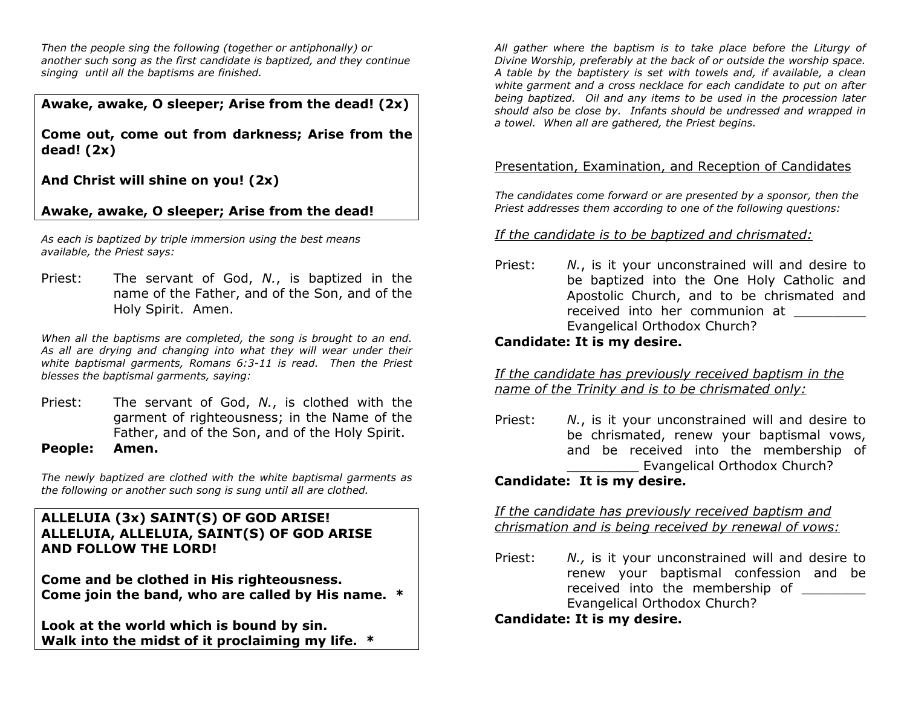*Then the people sing the following (together or antiphonally) or another such song as the first candidate is baptized, and they continue singing until all the baptisms are finished.*

**Awake, awake, O sleeper; Arise from the dead! (2x)**

**Come out, come out from darkness; Arise from the dead! (2x)**

**And Christ will shine on you! (2x)**

# **Awake, awake, O sleeper; Arise from the dead!**

*As each is baptized by triple immersion using the best means available, the Priest says:*

Priest: The servant of God, *N.*, is baptized in the name of the Father, and of the Son, and of the Holy Spirit. Amen.

*When all the baptisms are completed, the song is brought to an end. As all are drying and changing into what they will wear under their white baptismal garments, Romans 6:3-11 is read. Then the Priest blesses the baptismal garments, saying:*

Priest: The servant of God, *N.*, is clothed with the garment of righteousness; in the Name of the Father, and of the Son, and of the Holy Spirit.

#### **People: Amen.**

*The newly baptized are clothed with the white baptismal garments as the following or another such song is sung until all are clothed.*

# **ALLELUIA (3x) SAINT(S) OF GOD ARISE! ALLELUIA, ALLELUIA, SAINT(S) OF GOD ARISE AND FOLLOW THE LORD!**

**Come and be clothed in His righteousness. Come join the band, who are called by His name. \***

**Look at the world which is bound by sin. Walk into the midst of it proclaiming my life. \***

*All gather where the baptism is to take place before the Liturgy of Divine Worship, preferably at the back of or outside the worship space. A table by the baptistery is set with towels and, if available, a clean white garment and a cross necklace for each candidate to put on after being baptized. Oil and any items to be used in the procession later should also be close by. Infants should be undressed and wrapped in a towel. When all are gathered, the Priest begins.*

#### Presentation, Examination, and Reception of Candidates

*The candidates come forward or are presented by a sponsor, then the Priest addresses them according to one of the following questions:* 

#### *If the candidate is to be baptized and chrismated:*

Priest: *N.*, is it your unconstrained will and desire to be baptized into the One Holy Catholic and Apostolic Church, and to be chrismated and received into her communion at Evangelical Orthodox Church?

# **Candidate: It is my desire.**

*If the candidate has previously received baptism in the name of the Trinity and is to be chrismated only:*

Priest: *N.*, is it your unconstrained will and desire to be chrismated, renew your baptismal vows, and be received into the membership of Evangelical Orthodox Church?

# **Candidate: It is my desire.**

*If the candidate has previously received baptism and chrismation and is being received by renewal of vows:*

Priest: *N.,* is it your unconstrained will and desire to renew your baptismal confession and be received into the membership of Evangelical Orthodox Church?

# **Candidate: It is my desire.**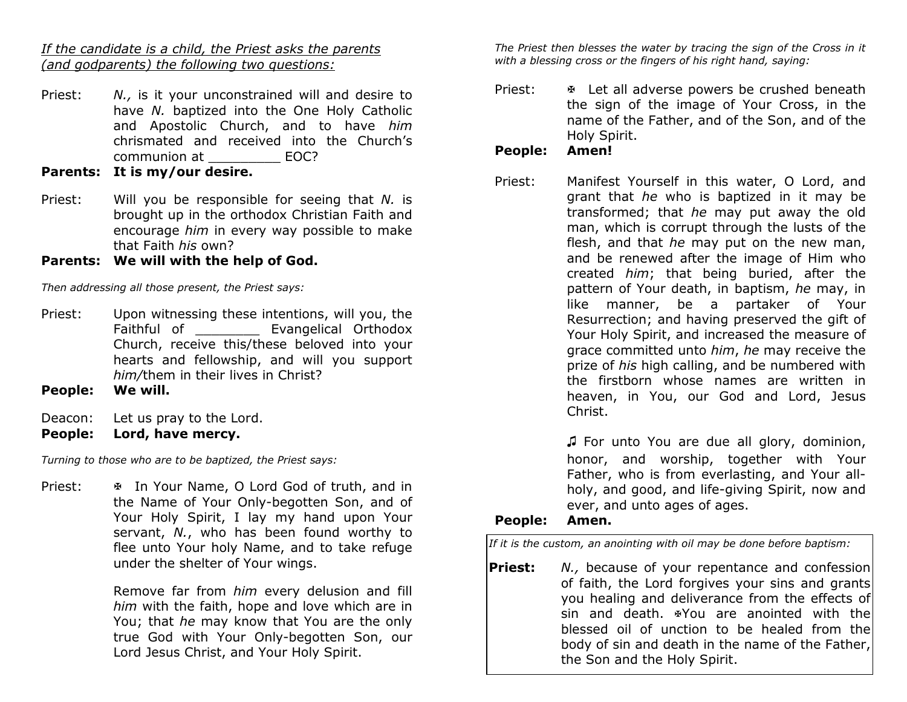*If the candidate is a child, the Priest asks the parents (and godparents) the following two questions:*

- Priest: *N.*, is it your unconstrained will and desire to have *N.* baptized into the One Holy Catholic and Apostolic Church, and to have *him* chrismated and received into the Church's communion at \_\_\_\_\_\_\_\_\_ EOC?
- **Parents: It is my/our desire.**
- Priest: Will you be responsible for seeing that *N.* is brought up in the orthodox Christian Faith and encourage *him* in every way possible to make that Faith *his* own?

# **Parents: We will with the help of God.**

*Then addressing all those present, the Priest says:*

- Priest: Upon witnessing these intentions, will you, the Faithful of **Evangelical Orthodox** Church, receive this/these beloved into your hearts and fellowship, and will you support *him/*them in their lives in Christ?
- **People: We will.**
- Deacon: Let us pray to the Lord.
- **People: Lord, have mercy.**

*Turning to those who are to be baptized, the Priest says:*

Priest: Fig. 1. In Your Name, O Lord God of truth, and in the Name of Your Only-begotten Son, and of Your Holy Spirit, I lay my hand upon Your servant, *N.*, who has been found worthy to flee unto Your holy Name, and to take refuge under the shelter of Your wings.

> Remove far from *him* every delusion and fill *him* with the faith, hope and love which are in You; that *he* may know that You are the only true God with Your Only-begotten Son, our Lord Jesus Christ, and Your Holy Spirit.

*The Priest then blesses the water by tracing the sign of the Cross in it with a blessing cross or the fingers of his right hand, saying:*

Priest: Fig. 2. Let all adverse powers be crushed beneath the sign of the image of Your Cross, in the name of the Father, and of the Son, and of the Holy Spirit.

# **People: Amen!**

Priest: Manifest Yourself in this water, O Lord, and grant that *he* who is baptized in it may be transformed; that *he* may put away the old man, which is corrupt through the lusts of the flesh, and that *he* may put on the new man, and be renewed after the image of Him who created *him*; that being buried, after the pattern of Your death, in baptism, *he* may, in like manner, be a partaker of Your Resurrection; and having preserved the gift of Your Holy Spirit, and increased the measure of grace committed unto *him*, *he* may receive the prize of *his* high calling, and be numbered with the firstborn whose names are written in heaven, in You, our God and Lord, Jesus Christ.

> ♫ For unto You are due all glory, dominion, honor, and worship, together with Your Father, who is from everlasting, and Your allholy, and good, and life-giving Spirit, now and ever, and unto ages of ages.

# **People: Amen.**

*If it is the custom, an anointing with oil may be done before baptism:*

**Priest:** *N.,* because of your repentance and confession of faith, the Lord forgives your sins and grants you healing and deliverance from the effects of  $\sin$  and death.  $\frac{1}{2}$  are anointed with the blessed oil of unction to be healed from the body of sin and death in the name of the Father, the Son and the Holy Spirit.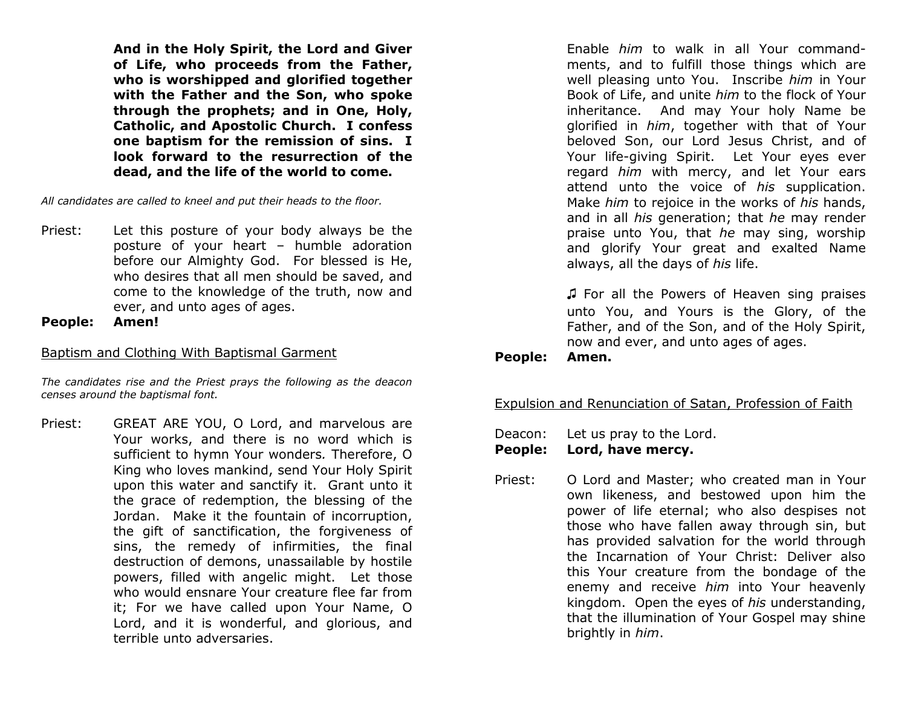**And in the Holy Spirit, the Lord and Giver of Life, who proceeds from the Father, who is worshipped and glorified together with the Father and the Son, who spoke through the prophets; and in One, Holy, Catholic, and Apostolic Church. I confess one baptism for the remission of sins. I look forward to the resurrection of the dead, and the life of the world to come.** 

*All candidates are called to kneel and put their heads to the floor.*

Priest: Let this posture of your body always be the posture of your heart – humble adoration before our Almighty God. For blessed is He, who desires that all men should be saved, and come to the knowledge of the truth, now and ever, and unto ages of ages.

**People: Amen!**

#### Baptism and Clothing With Baptismal Garment

*The candidates rise and the Priest prays the following as the deacon censes around the baptismal font.*

Priest: GREAT ARE YOU, O Lord, and marvelous are Your works, and there is no word which is sufficient to hymn Your wonders*.* Therefore, O King who loves mankind, send Your Holy Spirit upon this water and sanctify it.Grant unto it the grace of redemption, the blessing of the Jordan. Make it the fountain of incorruption, the gift of sanctification, the forgiveness of sins, the remedy of infirmities, the final destruction of demons, unassailable by hostile powers, filled with angelic might. Let those who would ensnare Your creature flee far from it; For we have called upon Your Name, O Lord, and it is wonderful, and glorious, and terrible unto adversaries.

Enable *him* to walk in all Your commandments, and to fulfill those things which are well pleasing unto You. Inscribe *him* in Your Book of Life, and unite *him* to the flock of Your inheritance. And may Your holy Name be glorified in *him*, together with that of Your beloved Son, our Lord Jesus Christ, and of Your life-giving Spirit. Let Your eyes ever regard *him* with mercy, and let Your ears attend unto the voice of *his* supplication. Make *him* to rejoice in the works of *his* hands, and in all *his* generation; that *he* may render praise unto You, that *he* may sing, worship and glorify Your great and exalted Name always, all the days of *his* life.

♫ For all the Powers of Heaven sing praises unto You, and Yours is the Glory, of the Father, and of the Son, and of the Holy Spirit, now and ever, and unto ages of ages.

**People: Amen.**

# Expulsion and Renunciation of Satan, Profession of Faith

Deacon: Let us pray to the Lord.

**People: Lord, have mercy.**

Priest: O Lord and Master; who created man in Your own likeness, and bestowed upon him the power of life eternal; who also despises not those who have fallen away through sin, but has provided salvation for the world through the Incarnation of Your Christ: Deliver also this Your creature from the bondage of the enemy and receive *him* into Your heavenly kingdom. Open the eyes of *his* understanding, that the illumination of Your Gospel may shine brightly in *him*.